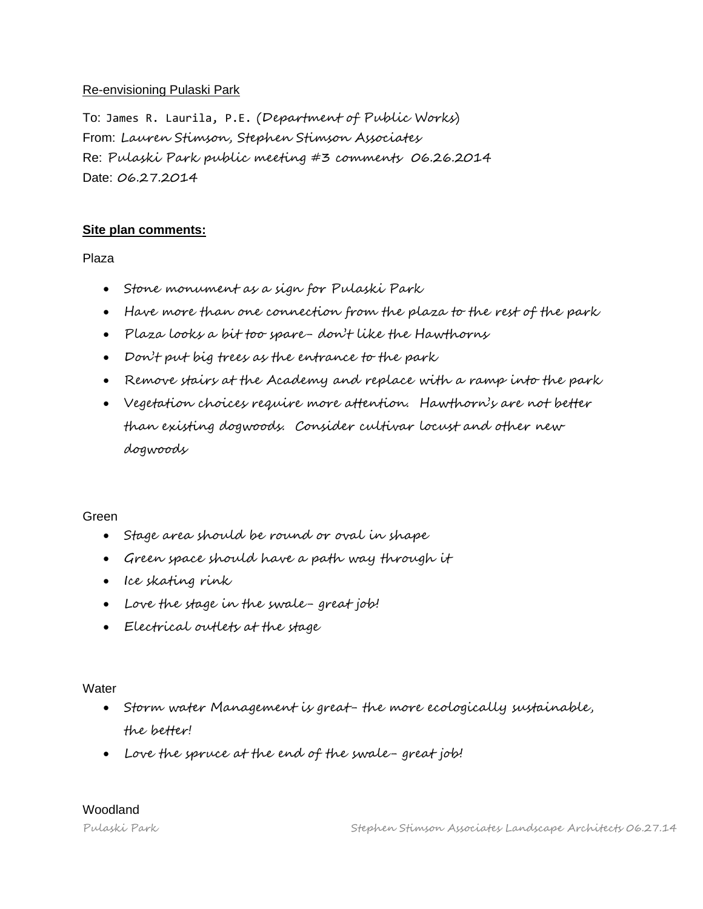### Re-envisioning Pulaski Park

To: James R. Laurila, P.E. (Department of Public Works) From: Lauren Stimson, Stephen Stimson Associates Re: Pulaski Park public meeting #3 comments 06.26.2014 Date: 06.27.2014

# **Site plan comments:**

Plaza

- Stone monument as a sign for Pulaski Park
- Have more than one connection from the plaza to the rest of the park
- Plaza looks a bit too spare- don't like the Hawthorns
- Don't put big trees as the entrance to the park
- Remove stairs at the Academy and replace with a ramp into the park
- Vegetation choices require more attention. Hawthorn's are not better than existing dogwoods. Consider cultivar locust and other new dogwoods

#### Green

- Stage area should be round or oval in shape
- Green space should have a path way through it
- Ice skating rink
- Love the stage in the swale- great job!
- Electrical outlets at the stage

#### **Water**

- Storm water Management is great- the more ecologically sustainable, the better!
- Love the spruce at the end of the swale- great job!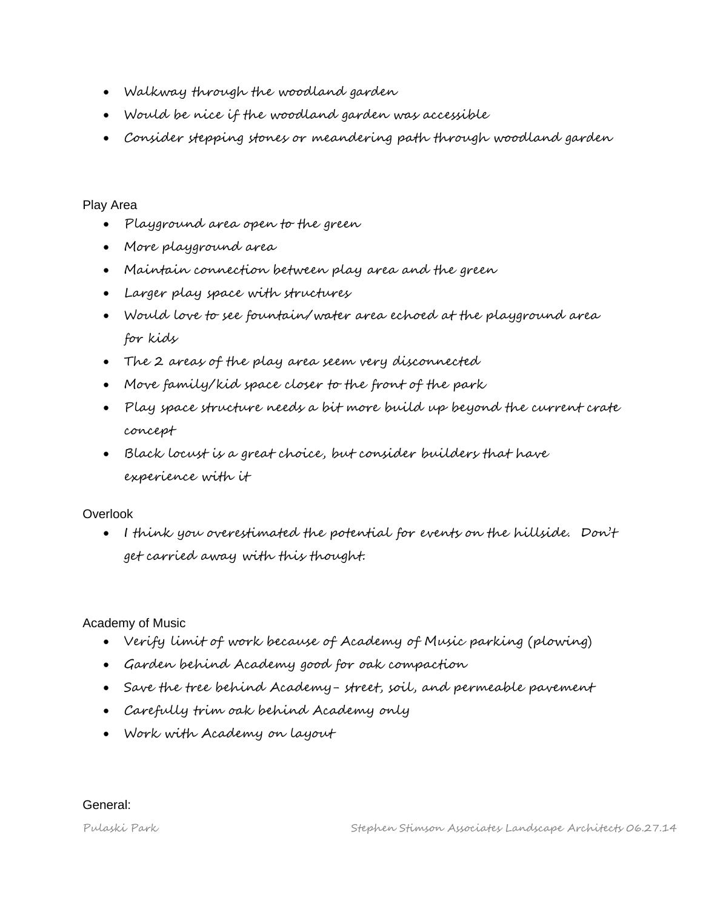- Walkway through the woodland garden
- Would be nice if the woodland garden was accessible
- Consider stepping stones or meandering path through woodland garden

### Play Area

- Playground area open to the green
- More playground area
- Maintain connection between play area and the green
- Larger play space with structures
- Would love to see fountain/water area echoed at the playground area for kids
- The 2 areas of the play area seem very disconnected
- Move family/kid space closer to the front of the park
- Play space structure needs a bit more build up beyond the current crate concept
- Black locust is a great choice, but consider builders that have experience with it

# Overlook

 I think you overestimated the potential for events on the hillside. Don't get carried away with this thought.

# Academy of Music

- Verify limit of work because of Academy of Music parking (plowing)
- Garden behind Academy good for oak compaction
- Save the tree behind Academy- street, soil, and permeable pavement
- Carefully trim oak behind Academy only
- Work with Academy on layout

General: